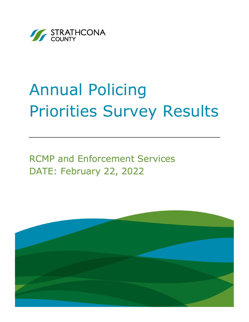

# Annual Policing Priorities Survey Results

RCMP and Enforcement Services DATE: February 22, 2022

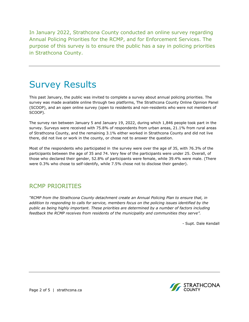In January 2022, Strathcona County conducted an online survey regarding Annual Policing Priorities for the RCMP, and for Enforcement Services. The purpose of this survey is to ensure the public has a say in policing priorities in Strathcona County.

# Survey Results

This past January, the public was invited to complete a survey about annual policing priorities. The survey was made available online through two platforms, The Strathcona County Online Opinion Panel (SCOOP), and an open online survey (open to residents and non-residents who were not members of SCOOP).

The survey ran between January 5 and January 19, 2022, during which 1,846 people took part in the survey. Surveys were received with 75.8% of respondents from urban areas, 21.1% from rural areas of Strathcona County, and the remaining 3.1% either worked in Strathcona County and did not live there, did not live or work in the county, or chose not to answer the question.

Most of the respondents who participated in the survey were over the age of 35, with 76.3% of the participants between the age of 35 and 74. Very few of the participants were under 25. Overall, of those who declared their gender, 52.8% of participants were female, while 39.4% were male. (There were 0.3% who chose to self-identify, while 7.5% chose not to disclose their gender).

## RCMP PRIORITIES

*"RCMP from the Strathcona County detachment create an Annual Policing Plan to ensure that, in addition to responding to calls for service, members focus on the policing issues identified by the public as being highly important. These priorities are determined by a number of factors including feedback the RCMP receives from residents of the municipality and communities they serve".*

- Supt. Dale Kendall



Page 2 of 5 | strathcona.ca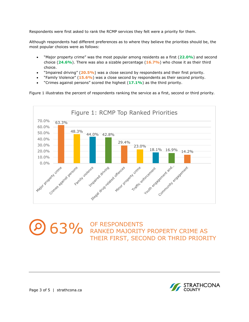Respondents were first asked to rank the RCMP services they felt were a priority for them.

Although respondents had different preferences as to where they believe the priorities should be, the most popular choices were as follows:

- "Major property crime" was the most popular among residents as a first (**22.0%**) and second choice (**24.6%**). There was also a sizable percentage (**16.7%**) who chose it as their third choice.
- "Impaired driving" (**20.5%**) was a close second by respondents and their first priority.
- "Family Violence" (**15.6%**) was a close second by respondents as their second priority.
- "Crimes against persons" scored the highest (**17.1%**) as the third priority.

Figure 1 illustrates the percent of respondents ranking the service as a first, second or third priority*.*



63% OF RESPONDENTS<br>
COMPRESPONDENTS<br>
THE FROM SECOND OF THEIR PROPERTY THEIR FIRST, SECOND OR THRID PRIORITY

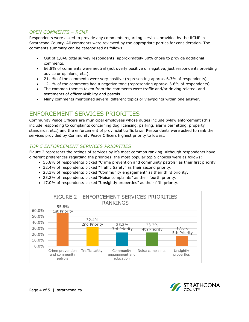#### *OPEN COMMENTS – RCMP*

Respondents were asked to provide any comments regarding services provided by the RCMP in Strathcona County. All comments were reviewed by the appropriate parties for consideration. The comments summary can be categorized as follows:

- Out of 1,846 total survey respondents, approximately 30% chose to provide additional comments.
- 66.8% of comments were neutral (not overly positive or negative, just respondents providing advice or opinions, etc.).
- 21.1% of the comments were very positive (representing approx. 6.3% of respondents)
- 12.1% of the comments had a negative tone (representing approx. 3.6% of respondents)
- The common themes taken from the comments were traffic and/or driving related, and sentiments of officer visibility and patrols.
- Many comments mentioned several different topics or viewpoints within one answer.

### ENFORCEMENT SERVICES PRIORITIES

Community Peace Officers are municipal employees whose duties include bylaw enforcement (this include responding to complaints concerning dog licensing, parking, alarm permitting, property standards, etc.) and the enforcement of provincial traffic laws. Respondents were asked to rank the services provided by Community Peace Officers highest priority to lowest.

#### *TOP 5 ENFORCEMENT SERVICES PRIORITIES*

Figure 2 represents the ratings of services by it's most common ranking. Although respondents have different preferences regarding the priorities, the most popular top 5 choices were as follows:

- 55.8% of respondents picked "Crime prevention and community patrols" as their first priority.
- 32.4% of respondents picked "Traffic Safety" as their second priority.
- 23.3% of respondents picked "Community engagement" as their third priority.
- 23.2% of respondents picked "Noise complaints" as their fourth priority.
- 17.0% of respondents picked "Unsightly properties" as their fifth priority.